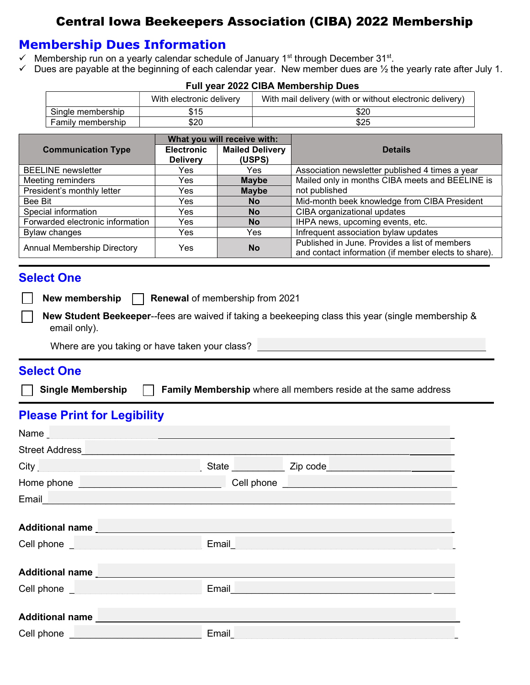# Central Iowa Beekeepers Association (CIBA) 2022 Membership

## Membership Dues Information

- $\checkmark$  Membership run on a yearly calendar schedule of January 1<sup>st</sup> through December 31<sup>st</sup>.
- $\checkmark$  Dues are payable at the beginning of each calendar year. New member dues are  $\frac{1}{2}$  the yearly rate after July 1.

|                                  |                   | With electronic delivery    |                        | With mail delivery (with or without electronic delivery) |                                                 |  |
|----------------------------------|-------------------|-----------------------------|------------------------|----------------------------------------------------------|-------------------------------------------------|--|
|                                  | Single membership | \$15                        |                        | \$20                                                     |                                                 |  |
|                                  | Family membership | \$20                        |                        | \$25                                                     |                                                 |  |
|                                  |                   | What you will receive with: |                        |                                                          |                                                 |  |
| <b>Communication Type</b>        |                   | <b>Electronic</b>           | <b>Mailed Delivery</b> |                                                          | <b>Details</b>                                  |  |
|                                  |                   | <b>Delivery</b>             |                        | (USPS)                                                   |                                                 |  |
| <b>BEELINE</b> newsletter        |                   | Yes.                        | Yes.                   |                                                          | Association newsletter published 4 times a year |  |
| Meeting reminders                |                   | Yes.                        | <b>Maybe</b>           |                                                          | Mailed only in months CIBA meets and BEELINE is |  |
| President's monthly letter       |                   | Yes.                        | <b>Maybe</b>           |                                                          | not published                                   |  |
| Bee Bit                          |                   | Yes.                        | <b>No</b>              |                                                          | Mid-month beek knowledge from CIBA President    |  |
| Special information              |                   | Yes.                        | No.                    |                                                          | CIBA organizational updates                     |  |
| Forwarded electronic information |                   | Yes                         | <b>No</b>              |                                                          | IHPA news, upcoming events, etc.                |  |
| <b>Bylaw changes</b>             |                   | Yes                         |                        | Yes                                                      | Infrequent association bylaw updates            |  |

#### Full year 2022 CIBA Membership Dues

### Select One

- New membership  $\Box$  Renewal of membership from 2021
	- New Student Beekeeper--fees are waived if taking a beekeeping class this year (single membership & email only).

Annual Membership Directory Yes **No** Published in June. Provides a list of members **Annual Membership Directory** 

and contact information (if member elects to share).

Where are you taking or have taken your class?

### Select One

Single Membership  $\Box$  Family Membership where all members reside at the same address

# Please Print for Legibility

| Street Address<br><u>Land Address</u>                                                                                                                                                                                                |       |                                                                                                                                                                                                                                      |  |  |  |  |  |  |
|--------------------------------------------------------------------------------------------------------------------------------------------------------------------------------------------------------------------------------------|-------|--------------------------------------------------------------------------------------------------------------------------------------------------------------------------------------------------------------------------------------|--|--|--|--|--|--|
| City                                                                                                                                                                                                                                 |       | State ______________ Zip code                                                                                                                                                                                                        |  |  |  |  |  |  |
| Home phone <u>successors</u>                                                                                                                                                                                                         |       | Cell phone <u>substantial contract and the set of the set of the set of the set of the set of the set of the set of the set of the set of the set of the set of the set of the set of the set of the set of the set of the set o</u> |  |  |  |  |  |  |
| Email <b>Executive Contract Contract Contract Contract Contract Contract Contract Contract Contract Contract Contract Contract Contract Contract Contract Contract Contract Contract Contract Contract Contract Contract Contrac</b> |       |                                                                                                                                                                                                                                      |  |  |  |  |  |  |
|                                                                                                                                                                                                                                      |       |                                                                                                                                                                                                                                      |  |  |  |  |  |  |
|                                                                                                                                                                                                                                      |       |                                                                                                                                                                                                                                      |  |  |  |  |  |  |
|                                                                                                                                                                                                                                      |       | Email <b>Experience and Contract Contract Contract Contract Contract Contract Contract Contract Contract Contract Contract Contract Contract Contract Contract Contract Contract Contract Contract Contract Contract Contract Co</b> |  |  |  |  |  |  |
|                                                                                                                                                                                                                                      |       |                                                                                                                                                                                                                                      |  |  |  |  |  |  |
| Additional name                                                                                                                                                                                                                      |       |                                                                                                                                                                                                                                      |  |  |  |  |  |  |
| Cell phone <u>successive and the set of the set of the set of the set of the set of the set of the set of the set of the set of the set of the set of the set of the set of the set of the set of the set of the set of the set </u> |       | Email <u>__________________________</u>                                                                                                                                                                                              |  |  |  |  |  |  |
|                                                                                                                                                                                                                                      |       |                                                                                                                                                                                                                                      |  |  |  |  |  |  |
| <b>Additional name</b>                                                                                                                                                                                                               |       |                                                                                                                                                                                                                                      |  |  |  |  |  |  |
| <b>Cell phone Cell phone Cell and Cell phone</b>                                                                                                                                                                                     | Email |                                                                                                                                                                                                                                      |  |  |  |  |  |  |